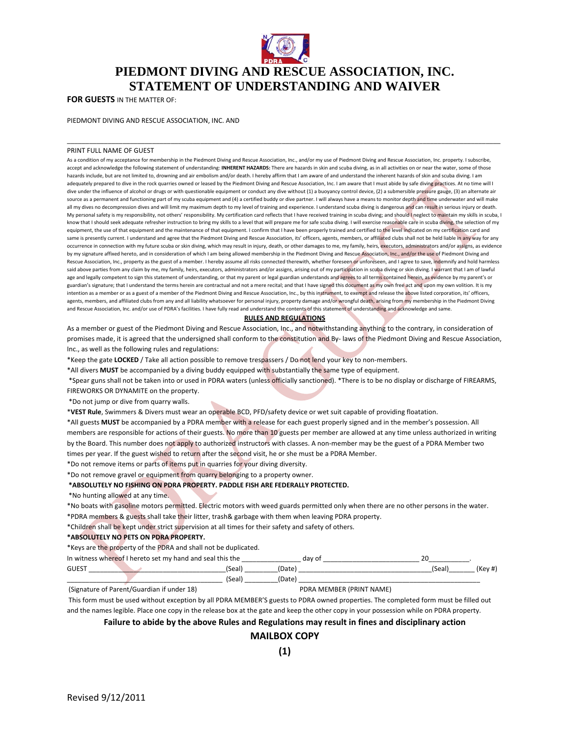

# **PIEDMONT DIVING AND RESCUE ASSOCIATION, INC. STATEMENT OF UNDERSTANDING AND WAIVER**

\_\_\_\_\_\_\_\_\_\_\_\_\_\_\_\_\_\_\_\_\_\_\_\_\_\_\_\_\_\_\_\_\_\_\_\_\_\_\_\_\_\_\_\_\_\_\_\_\_\_\_\_\_\_\_\_\_\_\_\_\_\_\_\_\_\_\_\_\_\_\_\_\_\_\_\_\_\_\_\_\_\_\_\_\_\_\_\_\_\_\_\_\_\_\_\_\_\_\_\_\_\_\_\_\_\_\_\_\_\_\_\_\_\_\_\_\_

**FOR GUESTS** IN THE MATTER OF:

PIEDMONT DIVING AND RESCUE ASSOCIATION, INC. AND

#### PRINT FULL NAME OF GUEST

As a condition of my acceptance for membership in the Piedmont Diving and Rescue Association, Inc., and/or my use of Piedmont Diving and Rescue Association, Inc. property. I subscribe, accept and acknowledge the following statement of understanding: **INHERENT HAZARDS:** There are hazards in skin and scuba diving, as in all activities on or near the water, some of those hazards include, but are not limited to, drowning and air embolism and/or death. I hereby affirm that I am aware of and understand the inherent hazards of skin and scuba diving. I am adequately prepared to dive in the rock quarries owned or leased by the Piedmont Diving and Rescue Association, Inc. I am aware that I must abide by safe diving practices. At no time will I dive under the influence of alcohol or drugs or with questionable equipment or conduct any dive without (1) a buoyancy control device, (2) a submersible pressure gauge, (3) an alternate air source as a permanent and functioning part of my scuba equipment and (4) a certified buddy or dive partner. I will always have a means to monitor depth and time underwater and will make all my dives no decompression dives and will limit my maximum depth to my level of training and experience. I understand scuba diving is dangerous and can result in serious injury or death. My personal safety is my responsibility, not others' responsibility. My certification card reflects that I have received training in scuba diving; and should I neglect to maintain my skills in scuba, I know that I should seek adequate refresher instruction to bring my skills to a level that will prepare me for safe scuba diving. I will exercise reasonable care in scuba diving, the selection of my equipment, the use of that equipment and the maintenance of that equipment. I confirm that I have been properly trained and certified to the level indicated on my certification card and same is presently current. I understand and agree that the Piedmont Diving and Rescue Association, its' officers, agents, members, or affiliated clubs shall not be held liable in any way for any occurrence in connection with my future scuba or skin diving, which may result in injury, death, or other damages to me, my family, heirs, executors, administrators and/or assigns, as evidence by my signature affixed hereto, and in consideration of which I am being allowed membership in the Piedmont Diving and Rescue Association, Inc., and/or the use of Piedmont Diving and Rescue Association, Inc., property as the guest of a member. I hereby assume all risks connected therewith, whether foreseen or unforeseen, and I agree to save, indemnify and hold harmless said above parties from any claim by me, my family, heirs, executors, administrators and/or assigns, arising out of my participation in scuba diving or skin diving. I warrant that I am of lawful age and legally competent to sign this statement of understanding, or that my parent or legal guardian understands and agrees to all terms contained herein, as evidence by my parent's or guardian's signature; that I understand the terms herein are contractual and not a mere recital; and that I have signed this document as my own free act and upon my own volition. It is my intention as a member or as a guest of a member of the Piedmont Diving and Rescue Association, Inc., by this instrument, to exempt and release the above listed corporation, its' officers, agents, members, and affiliated clubs from any and all liability whatsoever for personal injury, property damage and/or wrongful death, arising from my membership in the Piedmont Diving and Rescue Association, Inc. and/or use of PDRA's facilities. I have fully read and understand the contents of this statement of understanding and acknowledge and same.

### **RULES AND REGULATIONS**

As a member or guest of the Piedmont Diving and Rescue Association, Inc., and notwithstanding anything to the contrary, in consideration of promises made, it is agreed that the undersigned shall conform to the constitution and By- laws of the Piedmont Diving and Rescue Association, Inc., as well as the following rules and regulations:

\*Keep the gate **LOCKED** / Take all action possible to remove trespassers / Do not lend your key to non‐members.

\*All divers **MUST** be accompanied by a diving buddy equipped with substantially the same type of equipment.

\*Spear guns shall not be taken into or used in PDRA waters (unless officially sanctioned). \*There is to be no display or discharge of FIREARMS, FIREWORKS OR DYNAMITE on the property.

\*Do not jump or dive from quarry walls.

\***VEST Rule**, Swimmers & Divers must wear an operable BCD, PFD/safety device or wet suit capable of providing floatation.

\*All guests **MUST** be accompanied by a PDRA member with a release for each guest properly signed and in the member's possession. All members are responsible for actions of their guests. No more than 10 guests per member are allowed at any time unless authorized in writing by the Board. This number does not apply to authorized instructors with classes. A non-member may be the guest of a PDRA Member two times per year. If the guest wished to return after the second visit, he or she must be a PDRA Member.

\*Do not remove items or parts of items put in quarries for your diving diversity.

\*Do not remove gravel or equipment from quarry belonging to a property owner.

## **\*ABSOLUTELY NO FISHING ON PDRA PROPERTY. PADDLE FISH ARE FEDERALLY PROTECTED.**

\*No hunting allowed at any time.

\*No boats with gasoline motors permitted. Electric motors with weed guards permitted only when there are no other persons in the water.

\*PDRA members & guests shall take their litter, trash& garbage with them when leaving PDRA property.

\*Children shall be kept under strict supervision at all times for their safety and safety of others.

## **\*ABSOLUTELY NO PETS ON PDRA PROPERTY.**

\*Keys are the property of the PDRA and shall not be duplicated.

| In witness whereof I | and seal <b>s</b><br>، set my hand د<br>this the<br>hereto |       | day of |                 |
|----------------------|------------------------------------------------------------|-------|--------|-----------------|
| GUES <sup>-</sup>    | 'Seal                                                      | Date) |        | 'Seal<br>י באו. |
|                      | 'Seal                                                      | Date) |        |                 |

(Signature of Parent/Guardian if under 18) PDRA MEMBER (PRINT NAME)

This form must be used without exception by all PDRA MEMBER'S guests to PDRA owned properties. The completed form must be filled out and the names legible. Place one copy in the release box at the gate and keep the other copy in your possession while on PDRA property.

# **Failure to abide by the above Rules and Regulations may result in fines and disciplinary action**

## **MAILBOX COPY**

**(1)**